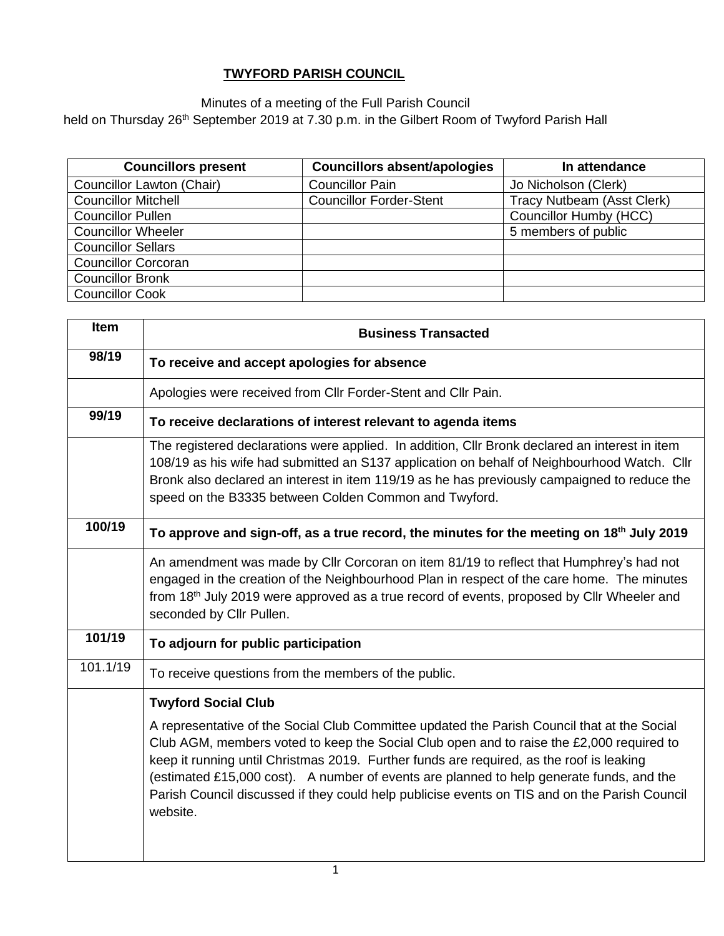## **TWYFORD PARISH COUNCIL**

Minutes of a meeting of the Full Parish Council

held on Thursday 26<sup>th</sup> September 2019 at 7.30 p.m. in the Gilbert Room of Twyford Parish Hall

| <b>Councillors present</b> | <b>Councillors absent/apologies</b> | In attendance              |
|----------------------------|-------------------------------------|----------------------------|
| Councillor Lawton (Chair)  | <b>Councillor Pain</b>              | Jo Nicholson (Clerk)       |
| <b>Councillor Mitchell</b> | <b>Councillor Forder-Stent</b>      | Tracy Nutbeam (Asst Clerk) |
| <b>Councillor Pullen</b>   |                                     | Councillor Humby (HCC)     |
| <b>Councillor Wheeler</b>  |                                     | 5 members of public        |
| <b>Councillor Sellars</b>  |                                     |                            |
| <b>Councillor Corcoran</b> |                                     |                            |
| <b>Councillor Bronk</b>    |                                     |                            |
| <b>Councillor Cook</b>     |                                     |                            |

| Item     | <b>Business Transacted</b>                                                                                                                                                                                                                                                                                                                                                                                                                                                                   |  |  |  |  |  |
|----------|----------------------------------------------------------------------------------------------------------------------------------------------------------------------------------------------------------------------------------------------------------------------------------------------------------------------------------------------------------------------------------------------------------------------------------------------------------------------------------------------|--|--|--|--|--|
| 98/19    | To receive and accept apologies for absence                                                                                                                                                                                                                                                                                                                                                                                                                                                  |  |  |  |  |  |
|          | Apologies were received from Cllr Forder-Stent and Cllr Pain.                                                                                                                                                                                                                                                                                                                                                                                                                                |  |  |  |  |  |
| 99/19    | To receive declarations of interest relevant to agenda items                                                                                                                                                                                                                                                                                                                                                                                                                                 |  |  |  |  |  |
|          | The registered declarations were applied. In addition, CIIr Bronk declared an interest in item<br>108/19 as his wife had submitted an S137 application on behalf of Neighbourhood Watch. Cllr<br>Bronk also declared an interest in item 119/19 as he has previously campaigned to reduce the<br>speed on the B3335 between Colden Common and Twyford.                                                                                                                                       |  |  |  |  |  |
| 100/19   | To approve and sign-off, as a true record, the minutes for the meeting on 18 <sup>th</sup> July 2019                                                                                                                                                                                                                                                                                                                                                                                         |  |  |  |  |  |
|          | An amendment was made by Cllr Corcoran on item 81/19 to reflect that Humphrey's had not<br>engaged in the creation of the Neighbourhood Plan in respect of the care home. The minutes<br>from 18th July 2019 were approved as a true record of events, proposed by Cllr Wheeler and<br>seconded by Cllr Pullen.                                                                                                                                                                              |  |  |  |  |  |
| 101/19   | To adjourn for public participation                                                                                                                                                                                                                                                                                                                                                                                                                                                          |  |  |  |  |  |
| 101.1/19 | To receive questions from the members of the public.                                                                                                                                                                                                                                                                                                                                                                                                                                         |  |  |  |  |  |
|          | <b>Twyford Social Club</b>                                                                                                                                                                                                                                                                                                                                                                                                                                                                   |  |  |  |  |  |
|          | A representative of the Social Club Committee updated the Parish Council that at the Social<br>Club AGM, members voted to keep the Social Club open and to raise the £2,000 required to<br>keep it running until Christmas 2019. Further funds are required, as the roof is leaking<br>(estimated £15,000 cost). A number of events are planned to help generate funds, and the<br>Parish Council discussed if they could help publicise events on TIS and on the Parish Council<br>website. |  |  |  |  |  |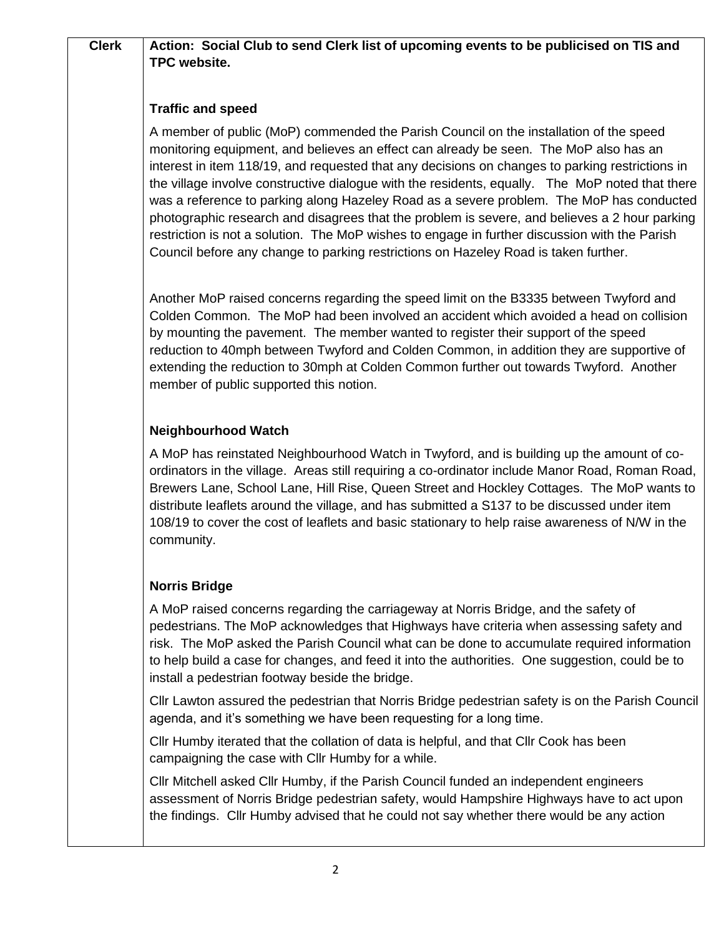# **Clerk Action: Social Club to send Clerk list of upcoming events to be publicised on TIS and TPC website.**

## **Traffic and speed**

A member of public (MoP) commended the Parish Council on the installation of the speed monitoring equipment, and believes an effect can already be seen. The MoP also has an interest in item 118/19, and requested that any decisions on changes to parking restrictions in the village involve constructive dialogue with the residents, equally. The MoP noted that there was a reference to parking along Hazeley Road as a severe problem. The MoP has conducted photographic research and disagrees that the problem is severe, and believes a 2 hour parking restriction is not a solution. The MoP wishes to engage in further discussion with the Parish Council before any change to parking restrictions on Hazeley Road is taken further.

Another MoP raised concerns regarding the speed limit on the B3335 between Twyford and Colden Common. The MoP had been involved an accident which avoided a head on collision by mounting the pavement. The member wanted to register their support of the speed reduction to 40mph between Twyford and Colden Common, in addition they are supportive of extending the reduction to 30mph at Colden Common further out towards Twyford. Another member of public supported this notion.

## **Neighbourhood Watch**

A MoP has reinstated Neighbourhood Watch in Twyford, and is building up the amount of coordinators in the village. Areas still requiring a co-ordinator include Manor Road, Roman Road, Brewers Lane, School Lane, Hill Rise, Queen Street and Hockley Cottages. The MoP wants to distribute leaflets around the village, and has submitted a S137 to be discussed under item 108/19 to cover the cost of leaflets and basic stationary to help raise awareness of N/W in the community.

## **Norris Bridge**

A MoP raised concerns regarding the carriageway at Norris Bridge, and the safety of pedestrians. The MoP acknowledges that Highways have criteria when assessing safety and risk. The MoP asked the Parish Council what can be done to accumulate required information to help build a case for changes, and feed it into the authorities. One suggestion, could be to install a pedestrian footway beside the bridge.

Cllr Lawton assured the pedestrian that Norris Bridge pedestrian safety is on the Parish Council agenda, and it's something we have been requesting for a long time.

Cllr Humby iterated that the collation of data is helpful, and that Cllr Cook has been campaigning the case with Cllr Humby for a while.

Cllr Mitchell asked Cllr Humby, if the Parish Council funded an independent engineers assessment of Norris Bridge pedestrian safety, would Hampshire Highways have to act upon the findings. Cllr Humby advised that he could not say whether there would be any action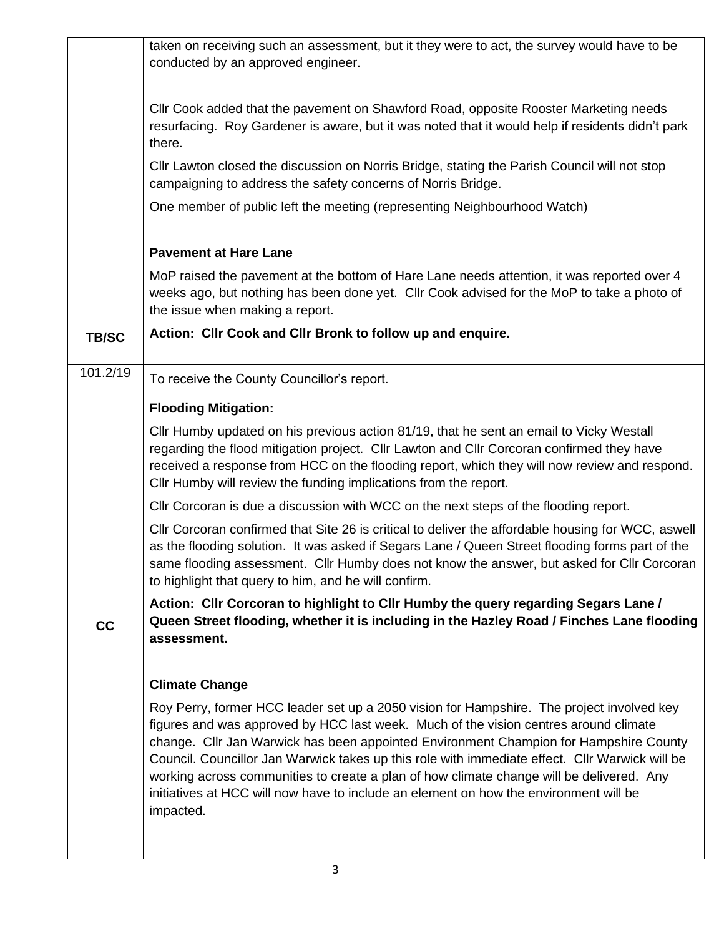| taken on receiving such an assessment, but it they were to act, the survey would have to be<br>conducted by an approved engineer.                                                                                                                                                                                                                                                                                                                                                                                                                                              |
|--------------------------------------------------------------------------------------------------------------------------------------------------------------------------------------------------------------------------------------------------------------------------------------------------------------------------------------------------------------------------------------------------------------------------------------------------------------------------------------------------------------------------------------------------------------------------------|
| CIIr Cook added that the pavement on Shawford Road, opposite Rooster Marketing needs                                                                                                                                                                                                                                                                                                                                                                                                                                                                                           |
| resurfacing. Roy Gardener is aware, but it was noted that it would help if residents didn't park<br>there.                                                                                                                                                                                                                                                                                                                                                                                                                                                                     |
| CIIr Lawton closed the discussion on Norris Bridge, stating the Parish Council will not stop<br>campaigning to address the safety concerns of Norris Bridge.                                                                                                                                                                                                                                                                                                                                                                                                                   |
| One member of public left the meeting (representing Neighbourhood Watch)                                                                                                                                                                                                                                                                                                                                                                                                                                                                                                       |
| <b>Pavement at Hare Lane</b>                                                                                                                                                                                                                                                                                                                                                                                                                                                                                                                                                   |
| MoP raised the pavement at the bottom of Hare Lane needs attention, it was reported over 4<br>weeks ago, but nothing has been done yet. Cllr Cook advised for the MoP to take a photo of<br>the issue when making a report.                                                                                                                                                                                                                                                                                                                                                    |
| Action: Cllr Cook and Cllr Bronk to follow up and enquire.                                                                                                                                                                                                                                                                                                                                                                                                                                                                                                                     |
| To receive the County Councillor's report.                                                                                                                                                                                                                                                                                                                                                                                                                                                                                                                                     |
| <b>Flooding Mitigation:</b>                                                                                                                                                                                                                                                                                                                                                                                                                                                                                                                                                    |
| CIIr Humby updated on his previous action 81/19, that he sent an email to Vicky Westall<br>regarding the flood mitigation project. Cllr Lawton and Cllr Corcoran confirmed they have<br>received a response from HCC on the flooding report, which they will now review and respond.<br>CIIr Humby will review the funding implications from the report.                                                                                                                                                                                                                       |
| CIIr Corcoran is due a discussion with WCC on the next steps of the flooding report.                                                                                                                                                                                                                                                                                                                                                                                                                                                                                           |
| CIIr Corcoran confirmed that Site 26 is critical to deliver the affordable housing for WCC, aswell<br>as the flooding solution. It was asked if Segars Lane / Queen Street flooding forms part of the<br>same flooding assessment. Cllr Humby does not know the answer, but asked for Cllr Corcoran<br>to highlight that query to him, and he will confirm.                                                                                                                                                                                                                    |
| Action: Cllr Corcoran to highlight to Cllr Humby the query regarding Segars Lane /<br>Queen Street flooding, whether it is including in the Hazley Road / Finches Lane flooding<br>assessment.                                                                                                                                                                                                                                                                                                                                                                                 |
| <b>Climate Change</b>                                                                                                                                                                                                                                                                                                                                                                                                                                                                                                                                                          |
| Roy Perry, former HCC leader set up a 2050 vision for Hampshire. The project involved key<br>figures and was approved by HCC last week. Much of the vision centres around climate<br>change. Cllr Jan Warwick has been appointed Environment Champion for Hampshire County<br>Council. Councillor Jan Warwick takes up this role with immediate effect. Cllr Warwick will be<br>working across communities to create a plan of how climate change will be delivered. Any<br>initiatives at HCC will now have to include an element on how the environment will be<br>impacted. |
|                                                                                                                                                                                                                                                                                                                                                                                                                                                                                                                                                                                |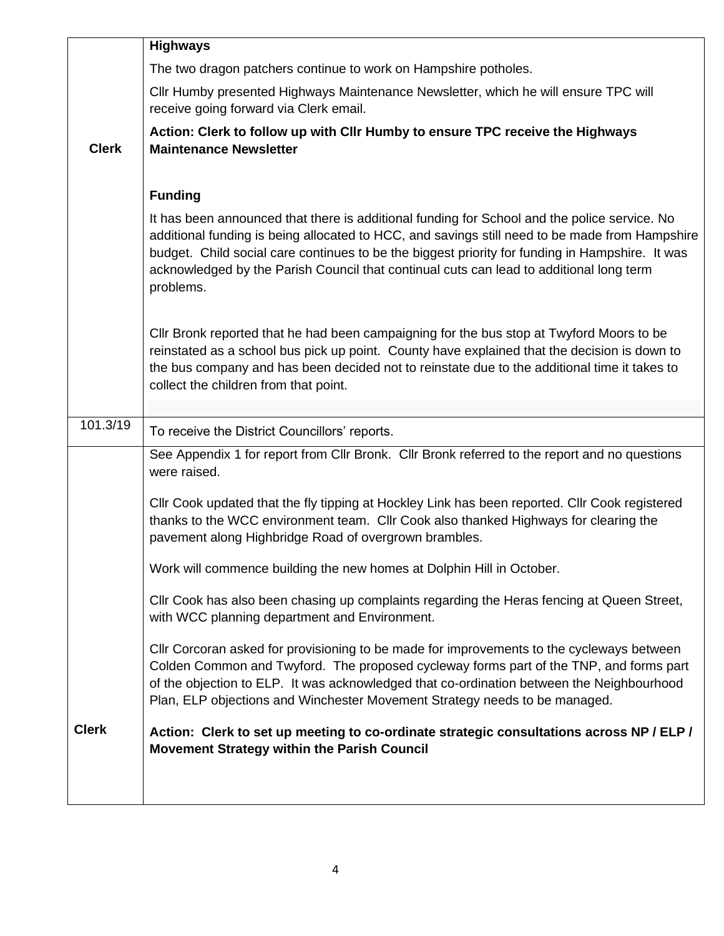|              | <b>Highways</b>                                                                                                                                                                                                                                                                                                                                                                                           |
|--------------|-----------------------------------------------------------------------------------------------------------------------------------------------------------------------------------------------------------------------------------------------------------------------------------------------------------------------------------------------------------------------------------------------------------|
|              | The two dragon patchers continue to work on Hampshire potholes.                                                                                                                                                                                                                                                                                                                                           |
|              | CIIr Humby presented Highways Maintenance Newsletter, which he will ensure TPC will<br>receive going forward via Clerk email.                                                                                                                                                                                                                                                                             |
| <b>Clerk</b> | Action: Clerk to follow up with Cllr Humby to ensure TPC receive the Highways<br><b>Maintenance Newsletter</b>                                                                                                                                                                                                                                                                                            |
|              | <b>Funding</b>                                                                                                                                                                                                                                                                                                                                                                                            |
|              | It has been announced that there is additional funding for School and the police service. No<br>additional funding is being allocated to HCC, and savings still need to be made from Hampshire<br>budget. Child social care continues to be the biggest priority for funding in Hampshire. It was<br>acknowledged by the Parish Council that continual cuts can lead to additional long term<br>problems. |
|              | CIIr Bronk reported that he had been campaigning for the bus stop at Twyford Moors to be<br>reinstated as a school bus pick up point. County have explained that the decision is down to<br>the bus company and has been decided not to reinstate due to the additional time it takes to<br>collect the children from that point.                                                                         |
|              |                                                                                                                                                                                                                                                                                                                                                                                                           |
| 101.3/19     |                                                                                                                                                                                                                                                                                                                                                                                                           |
|              | To receive the District Councillors' reports.                                                                                                                                                                                                                                                                                                                                                             |
|              | See Appendix 1 for report from Cllr Bronk. Cllr Bronk referred to the report and no questions<br>were raised.                                                                                                                                                                                                                                                                                             |
|              | Cllr Cook updated that the fly tipping at Hockley Link has been reported. Cllr Cook registered<br>thanks to the WCC environment team. Cllr Cook also thanked Highways for clearing the<br>pavement along Highbridge Road of overgrown brambles.                                                                                                                                                           |
|              | Work will commence building the new homes at Dolphin Hill in October.                                                                                                                                                                                                                                                                                                                                     |
|              | Cllr Cook has also been chasing up complaints regarding the Heras fencing at Queen Street,<br>with WCC planning department and Environment.                                                                                                                                                                                                                                                               |
|              | Cllr Corcoran asked for provisioning to be made for improvements to the cycleways between<br>Colden Common and Twyford. The proposed cycleway forms part of the TNP, and forms part<br>of the objection to ELP. It was acknowledged that co-ordination between the Neighbourhood<br>Plan, ELP objections and Winchester Movement Strategy needs to be managed.                                            |
| <b>Clerk</b> | Action: Clerk to set up meeting to co-ordinate strategic consultations across NP / ELP /<br>Movement Strategy within the Parish Council                                                                                                                                                                                                                                                                   |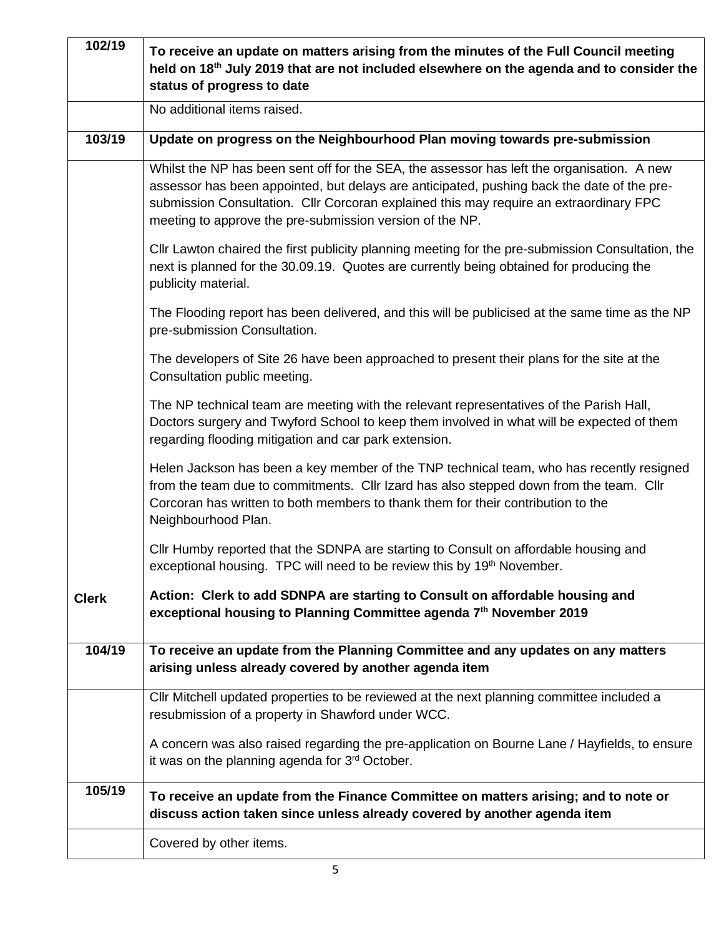| 102/19       | To receive an update on matters arising from the minutes of the Full Council meeting<br>held on 18 <sup>th</sup> July 2019 that are not included elsewhere on the agenda and to consider the<br>status of progress to date                                                                                                                     |
|--------------|------------------------------------------------------------------------------------------------------------------------------------------------------------------------------------------------------------------------------------------------------------------------------------------------------------------------------------------------|
|              | No additional items raised.                                                                                                                                                                                                                                                                                                                    |
| 103/19       | Update on progress on the Neighbourhood Plan moving towards pre-submission                                                                                                                                                                                                                                                                     |
|              | Whilst the NP has been sent off for the SEA, the assessor has left the organisation. A new<br>assessor has been appointed, but delays are anticipated, pushing back the date of the pre-<br>submission Consultation. Cllr Corcoran explained this may require an extraordinary FPC<br>meeting to approve the pre-submission version of the NP. |
|              | Cllr Lawton chaired the first publicity planning meeting for the pre-submission Consultation, the<br>next is planned for the 30.09.19. Quotes are currently being obtained for producing the<br>publicity material.                                                                                                                            |
|              | The Flooding report has been delivered, and this will be publicised at the same time as the NP<br>pre-submission Consultation.                                                                                                                                                                                                                 |
|              | The developers of Site 26 have been approached to present their plans for the site at the<br>Consultation public meeting.                                                                                                                                                                                                                      |
|              | The NP technical team are meeting with the relevant representatives of the Parish Hall,<br>Doctors surgery and Twyford School to keep them involved in what will be expected of them<br>regarding flooding mitigation and car park extension.                                                                                                  |
|              | Helen Jackson has been a key member of the TNP technical team, who has recently resigned<br>from the team due to commitments. Cllr Izard has also stepped down from the team. Cllr<br>Corcoran has written to both members to thank them for their contribution to the<br>Neighbourhood Plan.                                                  |
|              | Cllr Humby reported that the SDNPA are starting to Consult on affordable housing and<br>exceptional housing. TPC will need to be review this by 19th November.                                                                                                                                                                                 |
| <b>Clerk</b> | Action: Clerk to add SDNPA are starting to Consult on affordable housing and<br>exceptional housing to Planning Committee agenda 7th November 2019                                                                                                                                                                                             |
| 104/19       | To receive an update from the Planning Committee and any updates on any matters<br>arising unless already covered by another agenda item                                                                                                                                                                                                       |
|              | Cllr Mitchell updated properties to be reviewed at the next planning committee included a<br>resubmission of a property in Shawford under WCC.                                                                                                                                                                                                 |
|              | A concern was also raised regarding the pre-application on Bourne Lane / Hayfields, to ensure<br>it was on the planning agenda for 3 <sup>rd</sup> October.                                                                                                                                                                                    |
| 105/19       | To receive an update from the Finance Committee on matters arising; and to note or<br>discuss action taken since unless already covered by another agenda item                                                                                                                                                                                 |
|              | Covered by other items.                                                                                                                                                                                                                                                                                                                        |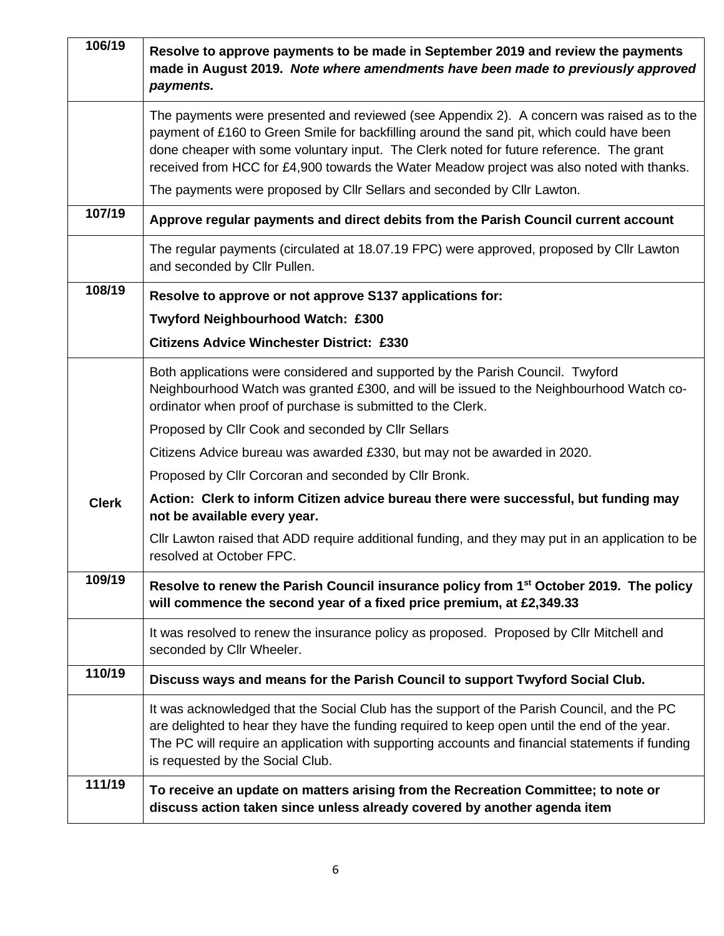| 106/19       | Resolve to approve payments to be made in September 2019 and review the payments<br>made in August 2019. Note where amendments have been made to previously approved<br>payments.                                                                                                                                                                                              |
|--------------|--------------------------------------------------------------------------------------------------------------------------------------------------------------------------------------------------------------------------------------------------------------------------------------------------------------------------------------------------------------------------------|
|              | The payments were presented and reviewed (see Appendix 2). A concern was raised as to the<br>payment of £160 to Green Smile for backfilling around the sand pit, which could have been<br>done cheaper with some voluntary input. The Clerk noted for future reference. The grant<br>received from HCC for £4,900 towards the Water Meadow project was also noted with thanks. |
|              | The payments were proposed by Cllr Sellars and seconded by Cllr Lawton.                                                                                                                                                                                                                                                                                                        |
| 107/19       | Approve regular payments and direct debits from the Parish Council current account                                                                                                                                                                                                                                                                                             |
|              | The regular payments (circulated at 18.07.19 FPC) were approved, proposed by Cllr Lawton<br>and seconded by Cllr Pullen.                                                                                                                                                                                                                                                       |
| 108/19       | Resolve to approve or not approve S137 applications for:                                                                                                                                                                                                                                                                                                                       |
|              | Twyford Neighbourhood Watch: £300                                                                                                                                                                                                                                                                                                                                              |
|              | <b>Citizens Advice Winchester District: £330</b>                                                                                                                                                                                                                                                                                                                               |
|              | Both applications were considered and supported by the Parish Council. Twyford<br>Neighbourhood Watch was granted £300, and will be issued to the Neighbourhood Watch co-<br>ordinator when proof of purchase is submitted to the Clerk.                                                                                                                                       |
|              | Proposed by Cllr Cook and seconded by Cllr Sellars                                                                                                                                                                                                                                                                                                                             |
|              | Citizens Advice bureau was awarded £330, but may not be awarded in 2020.                                                                                                                                                                                                                                                                                                       |
|              | Proposed by Cllr Corcoran and seconded by Cllr Bronk.                                                                                                                                                                                                                                                                                                                          |
| <b>Clerk</b> | Action: Clerk to inform Citizen advice bureau there were successful, but funding may<br>not be available every year.                                                                                                                                                                                                                                                           |
|              | CIIr Lawton raised that ADD require additional funding, and they may put in an application to be<br>resolved at October FPC.                                                                                                                                                                                                                                                   |
| 109/19       | Resolve to renew the Parish Council insurance policy from 1 <sup>st</sup> October 2019. The policy<br>will commence the second year of a fixed price premium, at £2,349.33                                                                                                                                                                                                     |
|              | It was resolved to renew the insurance policy as proposed. Proposed by Cllr Mitchell and<br>seconded by Cllr Wheeler.                                                                                                                                                                                                                                                          |
| 110/19       | Discuss ways and means for the Parish Council to support Twyford Social Club.                                                                                                                                                                                                                                                                                                  |
|              | It was acknowledged that the Social Club has the support of the Parish Council, and the PC<br>are delighted to hear they have the funding required to keep open until the end of the year.<br>The PC will require an application with supporting accounts and financial statements if funding<br>is requested by the Social Club.                                              |
| 111/19       | To receive an update on matters arising from the Recreation Committee; to note or<br>discuss action taken since unless already covered by another agenda item                                                                                                                                                                                                                  |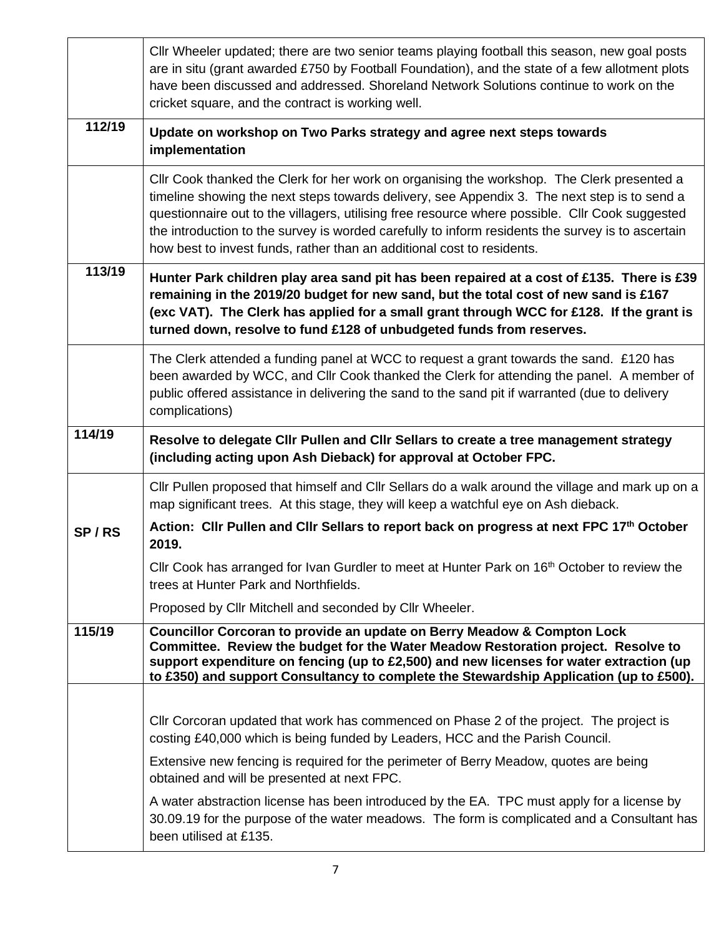|        | Cllr Wheeler updated; there are two senior teams playing football this season, new goal posts<br>are in situ (grant awarded £750 by Football Foundation), and the state of a few allotment plots<br>have been discussed and addressed. Shoreland Network Solutions continue to work on the<br>cricket square, and the contract is working well.                                                                                                                              |
|--------|------------------------------------------------------------------------------------------------------------------------------------------------------------------------------------------------------------------------------------------------------------------------------------------------------------------------------------------------------------------------------------------------------------------------------------------------------------------------------|
| 112/19 | Update on workshop on Two Parks strategy and agree next steps towards<br>implementation                                                                                                                                                                                                                                                                                                                                                                                      |
|        | Cllr Cook thanked the Clerk for her work on organising the workshop. The Clerk presented a<br>timeline showing the next steps towards delivery, see Appendix 3. The next step is to send a<br>questionnaire out to the villagers, utilising free resource where possible. Cllr Cook suggested<br>the introduction to the survey is worded carefully to inform residents the survey is to ascertain<br>how best to invest funds, rather than an additional cost to residents. |
| 113/19 | Hunter Park children play area sand pit has been repaired at a cost of £135. There is £39<br>remaining in the 2019/20 budget for new sand, but the total cost of new sand is £167<br>(exc VAT). The Clerk has applied for a small grant through WCC for £128. If the grant is<br>turned down, resolve to fund £128 of unbudgeted funds from reserves.                                                                                                                        |
|        | The Clerk attended a funding panel at WCC to request a grant towards the sand. £120 has<br>been awarded by WCC, and Cllr Cook thanked the Clerk for attending the panel. A member of<br>public offered assistance in delivering the sand to the sand pit if warranted (due to delivery<br>complications)                                                                                                                                                                     |
| 114/19 | Resolve to delegate CIIr Pullen and CIIr Sellars to create a tree management strategy<br>(including acting upon Ash Dieback) for approval at October FPC.                                                                                                                                                                                                                                                                                                                    |
|        | Cllr Pullen proposed that himself and Cllr Sellars do a walk around the village and mark up on a<br>map significant trees. At this stage, they will keep a watchful eye on Ash dieback.                                                                                                                                                                                                                                                                                      |
| SP/RS  | Action: Clir Pullen and Clir Sellars to report back on progress at next FPC 17th October<br>2019.                                                                                                                                                                                                                                                                                                                                                                            |
|        | Cllr Cook has arranged for Ivan Gurdler to meet at Hunter Park on 16 <sup>th</sup> October to review the<br>trees at Hunter Park and Northfields.                                                                                                                                                                                                                                                                                                                            |
|        | Proposed by Cllr Mitchell and seconded by Cllr Wheeler.                                                                                                                                                                                                                                                                                                                                                                                                                      |
| 115/19 | Councillor Corcoran to provide an update on Berry Meadow & Compton Lock<br>Committee. Review the budget for the Water Meadow Restoration project. Resolve to<br>support expenditure on fencing (up to £2,500) and new licenses for water extraction (up<br>to £350) and support Consultancy to complete the Stewardship Application (up to £500).                                                                                                                            |
|        |                                                                                                                                                                                                                                                                                                                                                                                                                                                                              |
|        | Cllr Corcoran updated that work has commenced on Phase 2 of the project. The project is<br>costing £40,000 which is being funded by Leaders, HCC and the Parish Council.                                                                                                                                                                                                                                                                                                     |
|        | Extensive new fencing is required for the perimeter of Berry Meadow, quotes are being<br>obtained and will be presented at next FPC.                                                                                                                                                                                                                                                                                                                                         |
|        | A water abstraction license has been introduced by the EA. TPC must apply for a license by<br>30.09.19 for the purpose of the water meadows. The form is complicated and a Consultant has<br>been utilised at £135.                                                                                                                                                                                                                                                          |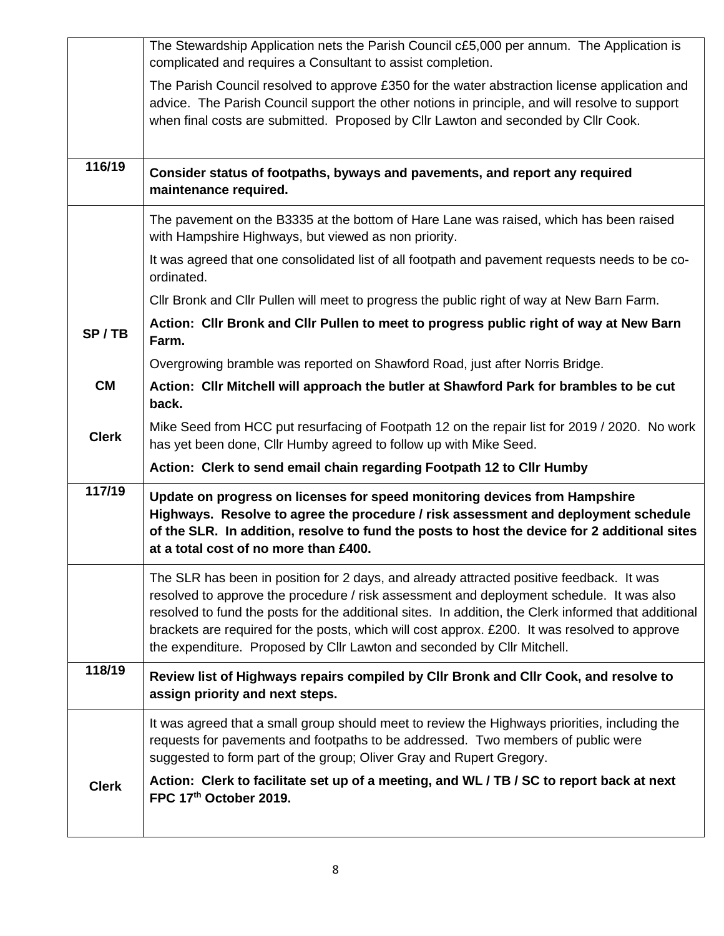|              | The Stewardship Application nets the Parish Council c£5,000 per annum. The Application is<br>complicated and requires a Consultant to assist completion.                                                                                                                                                                                                                                                                                                                 |
|--------------|--------------------------------------------------------------------------------------------------------------------------------------------------------------------------------------------------------------------------------------------------------------------------------------------------------------------------------------------------------------------------------------------------------------------------------------------------------------------------|
|              | The Parish Council resolved to approve £350 for the water abstraction license application and<br>advice. The Parish Council support the other notions in principle, and will resolve to support<br>when final costs are submitted. Proposed by Cllr Lawton and seconded by Cllr Cook.                                                                                                                                                                                    |
| 116/19       | Consider status of footpaths, byways and pavements, and report any required<br>maintenance required.                                                                                                                                                                                                                                                                                                                                                                     |
|              | The pavement on the B3335 at the bottom of Hare Lane was raised, which has been raised<br>with Hampshire Highways, but viewed as non priority.                                                                                                                                                                                                                                                                                                                           |
|              | It was agreed that one consolidated list of all footpath and pavement requests needs to be co-<br>ordinated.                                                                                                                                                                                                                                                                                                                                                             |
|              | CIIr Bronk and CIIr Pullen will meet to progress the public right of way at New Barn Farm.                                                                                                                                                                                                                                                                                                                                                                               |
| SP/TB        | Action: Cllr Bronk and Cllr Pullen to meet to progress public right of way at New Barn<br>Farm.                                                                                                                                                                                                                                                                                                                                                                          |
|              | Overgrowing bramble was reported on Shawford Road, just after Norris Bridge.                                                                                                                                                                                                                                                                                                                                                                                             |
| <b>CM</b>    | Action: Cllr Mitchell will approach the butler at Shawford Park for brambles to be cut<br>back.                                                                                                                                                                                                                                                                                                                                                                          |
| <b>Clerk</b> | Mike Seed from HCC put resurfacing of Footpath 12 on the repair list for 2019 / 2020. No work<br>has yet been done, Cllr Humby agreed to follow up with Mike Seed.                                                                                                                                                                                                                                                                                                       |
|              | Action: Clerk to send email chain regarding Footpath 12 to Cllr Humby                                                                                                                                                                                                                                                                                                                                                                                                    |
| 117/19       | Update on progress on licenses for speed monitoring devices from Hampshire<br>Highways. Resolve to agree the procedure / risk assessment and deployment schedule<br>of the SLR. In addition, resolve to fund the posts to host the device for 2 additional sites<br>at a total cost of no more than £400.                                                                                                                                                                |
|              | The SLR has been in position for 2 days, and already attracted positive feedback. It was<br>resolved to approve the procedure / risk assessment and deployment schedule. It was also<br>resolved to fund the posts for the additional sites. In addition, the Clerk informed that additional<br>brackets are required for the posts, which will cost approx. £200. It was resolved to approve<br>the expenditure. Proposed by Cllr Lawton and seconded by Cllr Mitchell. |
| 118/19       | Review list of Highways repairs compiled by Cllr Bronk and Cllr Cook, and resolve to<br>assign priority and next steps.                                                                                                                                                                                                                                                                                                                                                  |
|              | It was agreed that a small group should meet to review the Highways priorities, including the<br>requests for pavements and footpaths to be addressed. Two members of public were<br>suggested to form part of the group; Oliver Gray and Rupert Gregory.                                                                                                                                                                                                                |
| <b>Clerk</b> | Action: Clerk to facilitate set up of a meeting, and WL / TB / SC to report back at next<br>FPC 17th October 2019.                                                                                                                                                                                                                                                                                                                                                       |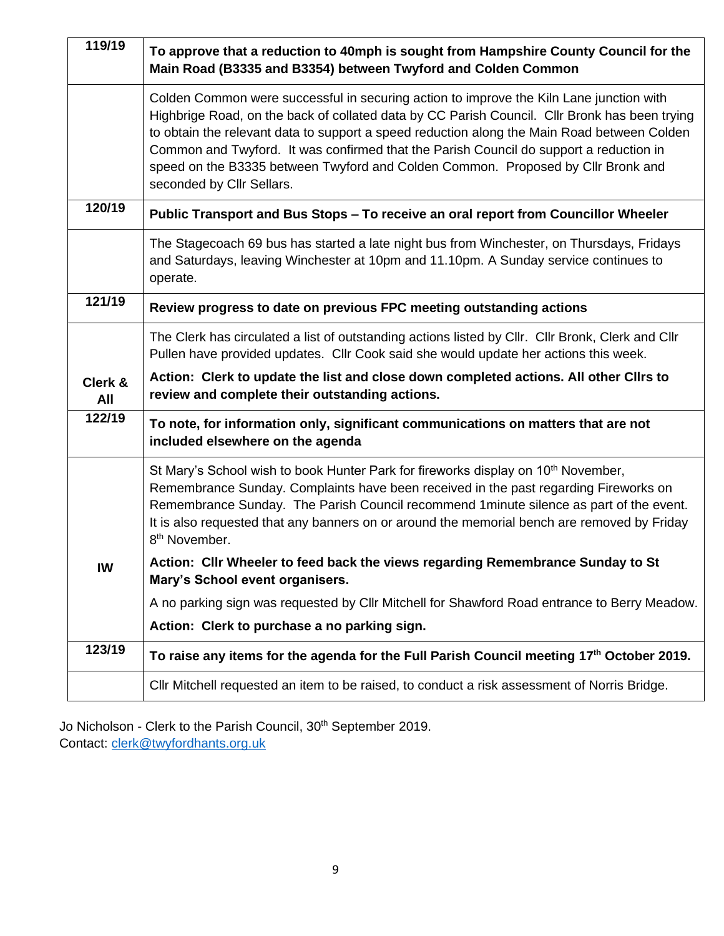| 119/19         | To approve that a reduction to 40mph is sought from Hampshire County Council for the<br>Main Road (B3335 and B3354) between Twyford and Colden Common                                                                                                                                                                                                                                                                                                                                              |
|----------------|----------------------------------------------------------------------------------------------------------------------------------------------------------------------------------------------------------------------------------------------------------------------------------------------------------------------------------------------------------------------------------------------------------------------------------------------------------------------------------------------------|
|                | Colden Common were successful in securing action to improve the Kiln Lane junction with<br>Highbrige Road, on the back of collated data by CC Parish Council. Cllr Bronk has been trying<br>to obtain the relevant data to support a speed reduction along the Main Road between Colden<br>Common and Twyford. It was confirmed that the Parish Council do support a reduction in<br>speed on the B3335 between Twyford and Colden Common. Proposed by Cllr Bronk and<br>seconded by Cllr Sellars. |
| 120/19         | Public Transport and Bus Stops - To receive an oral report from Councillor Wheeler                                                                                                                                                                                                                                                                                                                                                                                                                 |
|                | The Stagecoach 69 bus has started a late night bus from Winchester, on Thursdays, Fridays<br>and Saturdays, leaving Winchester at 10pm and 11.10pm. A Sunday service continues to<br>operate.                                                                                                                                                                                                                                                                                                      |
| 121/19         | Review progress to date on previous FPC meeting outstanding actions                                                                                                                                                                                                                                                                                                                                                                                                                                |
|                | The Clerk has circulated a list of outstanding actions listed by Cllr. Cllr Bronk, Clerk and Cllr<br>Pullen have provided updates. Cllr Cook said she would update her actions this week.                                                                                                                                                                                                                                                                                                          |
| Clerk &<br>All | Action: Clerk to update the list and close down completed actions. All other Clirs to<br>review and complete their outstanding actions.                                                                                                                                                                                                                                                                                                                                                            |
| 122/19         | To note, for information only, significant communications on matters that are not<br>included elsewhere on the agenda                                                                                                                                                                                                                                                                                                                                                                              |
|                | St Mary's School wish to book Hunter Park for fireworks display on 10 <sup>th</sup> November,<br>Remembrance Sunday. Complaints have been received in the past regarding Fireworks on<br>Remembrance Sunday. The Parish Council recommend 1 minute silence as part of the event.<br>It is also requested that any banners on or around the memorial bench are removed by Friday<br>8 <sup>th</sup> November.                                                                                       |
| IW             | Action: Cllr Wheeler to feed back the views regarding Remembrance Sunday to St<br>Mary's School event organisers.                                                                                                                                                                                                                                                                                                                                                                                  |
|                | A no parking sign was requested by Cllr Mitchell for Shawford Road entrance to Berry Meadow.                                                                                                                                                                                                                                                                                                                                                                                                       |
|                | Action: Clerk to purchase a no parking sign.                                                                                                                                                                                                                                                                                                                                                                                                                                                       |
| 123/19         | To raise any items for the agenda for the Full Parish Council meeting 17th October 2019.                                                                                                                                                                                                                                                                                                                                                                                                           |
|                | CIIr Mitchell requested an item to be raised, to conduct a risk assessment of Norris Bridge.                                                                                                                                                                                                                                                                                                                                                                                                       |

Jo Nicholson - Clerk to the Parish Council, 30<sup>th</sup> September 2019. Contact: [clerk@twyfordhants.org.uk](mailto:clerk@twyfordhants.org.uk)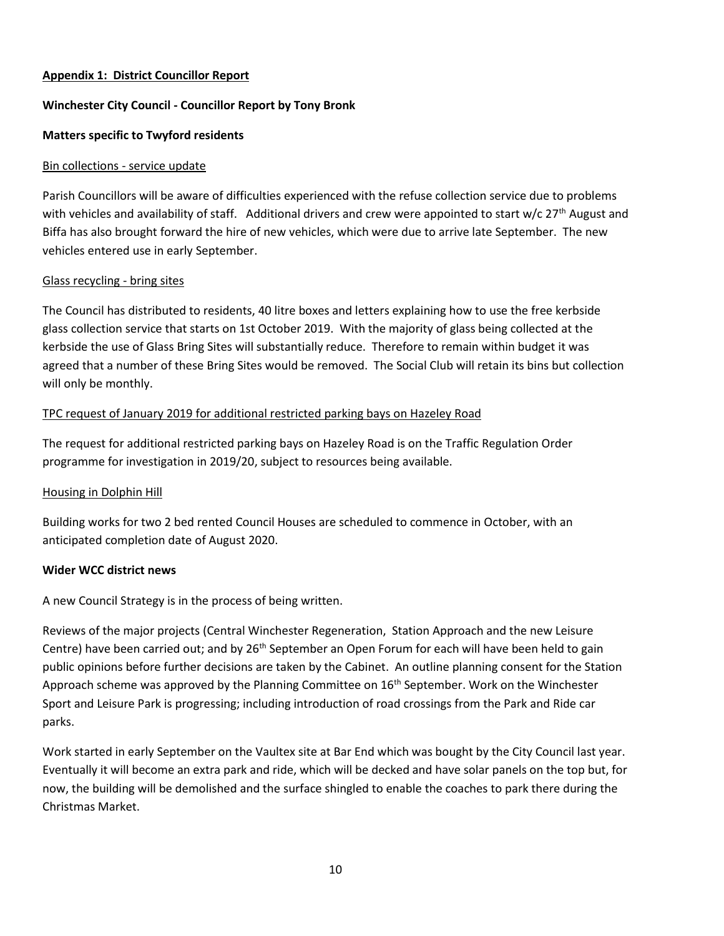#### **Appendix 1: District Councillor Report**

### **Winchester City Council - Councillor Report by Tony Bronk**

### **Matters specific to Twyford residents**

#### Bin collections - service update

Parish Councillors will be aware of difficulties experienced with the refuse collection service due to problems with vehicles and availability of staff. Additional drivers and crew were appointed to start w/c 27<sup>th</sup> August and Biffa has also brought forward the hire of new vehicles, which were due to arrive late September. The new vehicles entered use in early September.

### Glass recycling - bring sites

The Council has distributed to residents, 40 litre boxes and letters explaining how to use the free kerbside glass collection service that starts on 1st October 2019. With the majority of glass being collected at the kerbside the use of Glass Bring Sites will substantially reduce. Therefore to remain within budget it was agreed that a number of these Bring Sites would be removed. The Social Club will retain its bins but collection will only be monthly.

## TPC request of January 2019 for additional restricted parking bays on Hazeley Road

The request for additional restricted parking bays on Hazeley Road is on the Traffic Regulation Order programme for investigation in 2019/20, subject to resources being available.

#### Housing in Dolphin Hill

Building works for two 2 bed rented Council Houses are scheduled to commence in October, with an anticipated completion date of August 2020.

#### **Wider WCC district news**

A new Council Strategy is in the process of being written.

Reviews of the major projects (Central Winchester Regeneration, Station Approach and the new Leisure Centre) have been carried out; and by 26<sup>th</sup> September an Open Forum for each will have been held to gain public opinions before further decisions are taken by the Cabinet. An outline planning consent for the Station Approach scheme was approved by the Planning Committee on  $16<sup>th</sup>$  September. Work on the Winchester Sport and Leisure Park is progressing; including introduction of road crossings from the Park and Ride car parks.

Work started in early September on the Vaultex site at Bar End which was bought by the City Council last year. Eventually it will become an extra park and ride, which will be decked and have solar panels on the top but, for now, the building will be demolished and the surface shingled to enable the coaches to park there during the Christmas Market.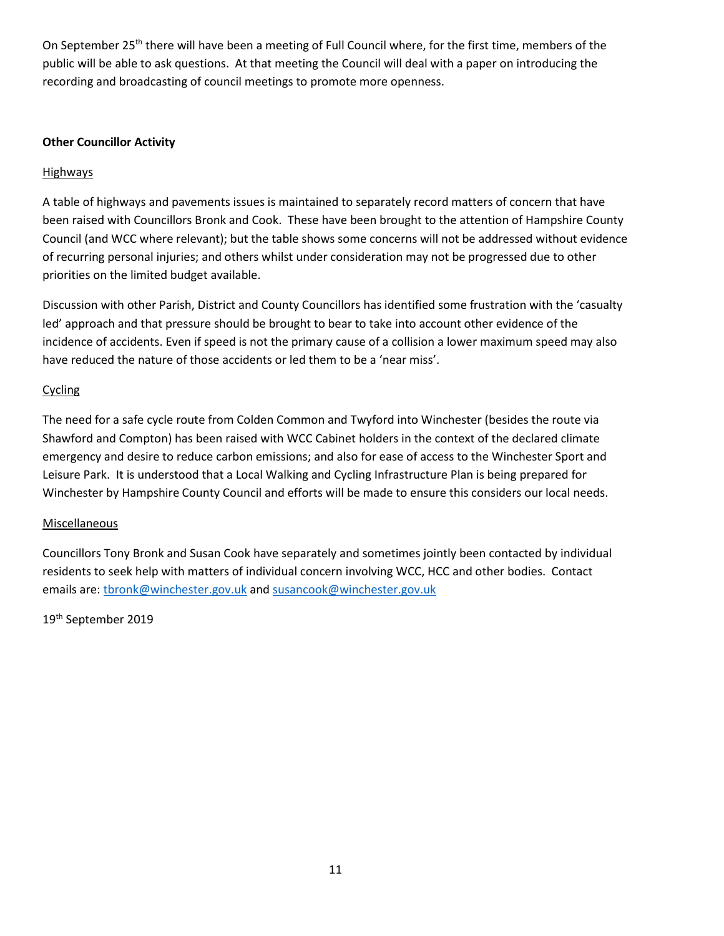On September 25<sup>th</sup> there will have been a meeting of Full Council where, for the first time, members of the public will be able to ask questions. At that meeting the Council will deal with a paper on introducing the recording and broadcasting of council meetings to promote more openness.

### **Other Councillor Activity**

## **Highways**

A table of highways and pavements issues is maintained to separately record matters of concern that have been raised with Councillors Bronk and Cook. These have been brought to the attention of Hampshire County Council (and WCC where relevant); but the table shows some concerns will not be addressed without evidence of recurring personal injuries; and others whilst under consideration may not be progressed due to other priorities on the limited budget available.

Discussion with other Parish, District and County Councillors has identified some frustration with the 'casualty led' approach and that pressure should be brought to bear to take into account other evidence of the incidence of accidents. Even if speed is not the primary cause of a collision a lower maximum speed may also have reduced the nature of those accidents or led them to be a 'near miss'.

### Cycling

The need for a safe cycle route from Colden Common and Twyford into Winchester (besides the route via Shawford and Compton) has been raised with WCC Cabinet holders in the context of the declared climate emergency and desire to reduce carbon emissions; and also for ease of access to the Winchester Sport and Leisure Park. It is understood that a Local Walking and Cycling Infrastructure Plan is being prepared for Winchester by Hampshire County Council and efforts will be made to ensure this considers our local needs.

## **Miscellaneous**

Councillors Tony Bronk and Susan Cook have separately and sometimes jointly been contacted by individual residents to seek help with matters of individual concern involving WCC, HCC and other bodies. Contact emails are: thronk@winchester.gov.uk and [susancook@winchester.gov.uk](mailto:susancook@winchester.gov.uk)

19<sup>th</sup> September 2019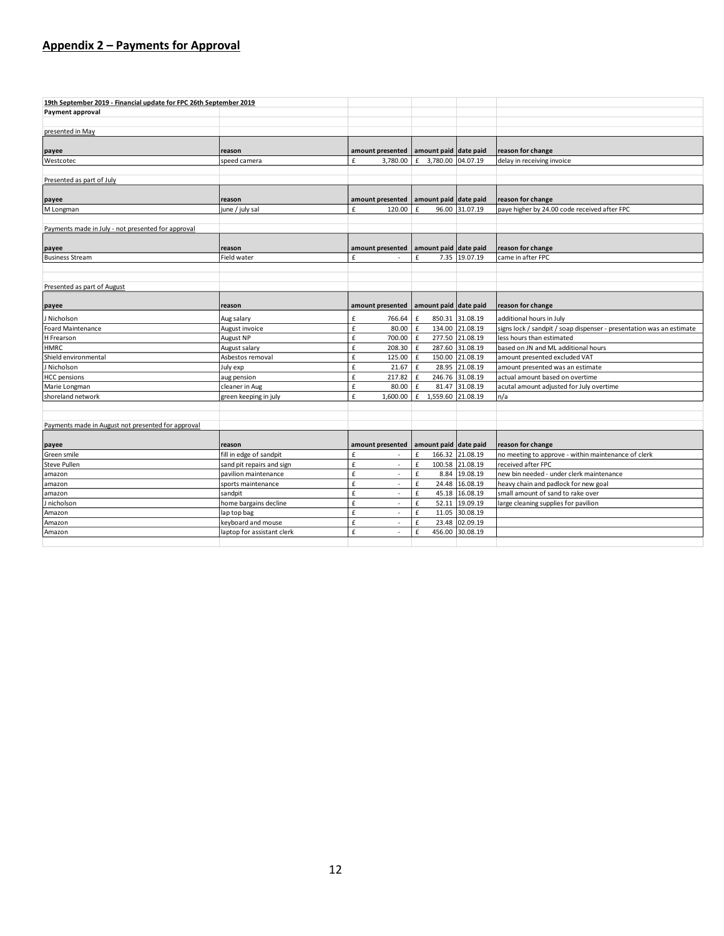## **Appendix 2 – Payments for Approval**

| 19th September 2019 - Financial update for FPC 26th September 2019 |                            |                  |                        |                 |                                                                      |  |
|--------------------------------------------------------------------|----------------------------|------------------|------------------------|-----------------|----------------------------------------------------------------------|--|
| Payment approval                                                   |                            |                  |                        |                 |                                                                      |  |
|                                                                    |                            |                  |                        |                 |                                                                      |  |
| presented in May                                                   |                            |                  |                        |                 |                                                                      |  |
| payee                                                              | reason                     | amount presented | amount paid date paid  |                 | reason for change                                                    |  |
| Westcotec                                                          | speed camera               | 3,780.00<br>£    | £ 3,780.00 04.07.19    |                 | delay in receiving invoice                                           |  |
|                                                                    |                            |                  |                        |                 |                                                                      |  |
| Presented as part of July                                          |                            |                  |                        |                 |                                                                      |  |
|                                                                    |                            |                  |                        |                 |                                                                      |  |
| payee                                                              | reason                     | amount presented | amount paid date paid  |                 | reason for change                                                    |  |
| M Longman                                                          | june / july sal            | £<br>120.00      | £                      | 96.00 31.07.19  | paye higher by 24.00 code received after FPC                         |  |
|                                                                    |                            |                  |                        |                 |                                                                      |  |
| Payments made in July - not presented for approval                 |                            |                  |                        |                 |                                                                      |  |
|                                                                    |                            |                  |                        |                 |                                                                      |  |
| payee                                                              | reason                     | amount presented | amount paid date paid  |                 | reason for change                                                    |  |
| <b>Business Stream</b>                                             | Field water                | £                | £                      | 7.35 19.07.19   | came in after FPC                                                    |  |
|                                                                    |                            |                  |                        |                 |                                                                      |  |
|                                                                    |                            |                  |                        |                 |                                                                      |  |
| Presented as part of August                                        |                            |                  |                        |                 |                                                                      |  |
|                                                                    |                            |                  |                        |                 |                                                                      |  |
| payee                                                              | reason                     | amount presented | amount paid date paid  |                 | reason for change                                                    |  |
| J Nicholson                                                        | Aug salary                 | £<br>766.64      | £                      | 850.31 31.08.19 | additional hours in July                                             |  |
| <b>Foard Maintenance</b>                                           | August invoice             | £<br>80.00 £     |                        | 134.00 21.08.19 | signs lock / sandpit / soap dispenser - presentation was an estimate |  |
| H Frearson                                                         | August NP                  | £<br>700.00 E    |                        | 277.50 21.08.19 | less hours than estimated                                            |  |
| <b>HMRC</b>                                                        | August salary              | £<br>208.30 £    |                        | 287.60 31.08.19 | based on JN and ML additional hours                                  |  |
| Shield environmental                                               | Asbestos removal           | £<br>125.00 E    |                        | 150.00 21.08.19 | amount presented excluded VAT                                        |  |
| J Nicholson                                                        | July exp                   | £<br>21.67       | £                      | 28.95 21.08.19  | amount presented was an estimate                                     |  |
| <b>HCC</b> pensions                                                | aug pension                | £<br>217.82      | $\mathbf f$            | 246.76 31.08.19 | actual amount based on overtime                                      |  |
| Marie Longman                                                      | cleaner in Aug             | £<br>80.00       | £                      | 81.47 31.08.19  | acutal amount adjusted for July overtime                             |  |
| shoreland network                                                  | green keeping in july      | £<br>1,600.00    | 1,559.60 21.08.19<br>£ |                 | n/a                                                                  |  |
|                                                                    |                            |                  |                        |                 |                                                                      |  |
|                                                                    |                            |                  |                        |                 |                                                                      |  |
| Payments made in August not presented for approval                 |                            |                  |                        |                 |                                                                      |  |
|                                                                    |                            |                  |                        |                 |                                                                      |  |
| payee                                                              | reason                     | amount presented | amount paid date paid  |                 | reason for change                                                    |  |
| Green smile                                                        | fill in edge of sandpit    | £                | £                      | 166.32 21.08.19 | no meeting to approve - within maintenance of clerk                  |  |
| Steve Pullen                                                       | sand pit repairs and sign  | £<br>٠           | £                      | 100.58 21.08.19 | received after FPC                                                   |  |
| amazon                                                             | pavilion maintenance       | £<br>$\sim$      | £                      | 8.84 19.08.19   | new bin needed - under clerk maintenance                             |  |
| amazon                                                             | sports maintenance         | £<br>$\sim$      | £                      | 24.48 16.08.19  | heavy chain and padlock for new goal                                 |  |
| amazon                                                             | sandpit                    | £<br>٠           | £                      | 45.18 16.08.19  | small amount of sand to rake over                                    |  |
| J nicholson                                                        | home bargains decline      | £<br>$\sim$      | £                      | 52.11 19.09.19  | large cleaning supplies for pavilion                                 |  |
| Amazon                                                             | lap top bag                | £<br>ä,          | £                      | 11.05 30.08.19  |                                                                      |  |
| Amazon                                                             | keyboard and mouse         | £<br>ä,          | £                      | 23.48 02.09.19  |                                                                      |  |
| Amazon                                                             | laptop for assistant clerk | £                | £                      | 456.00 30.08.19 |                                                                      |  |
|                                                                    |                            |                  |                        |                 |                                                                      |  |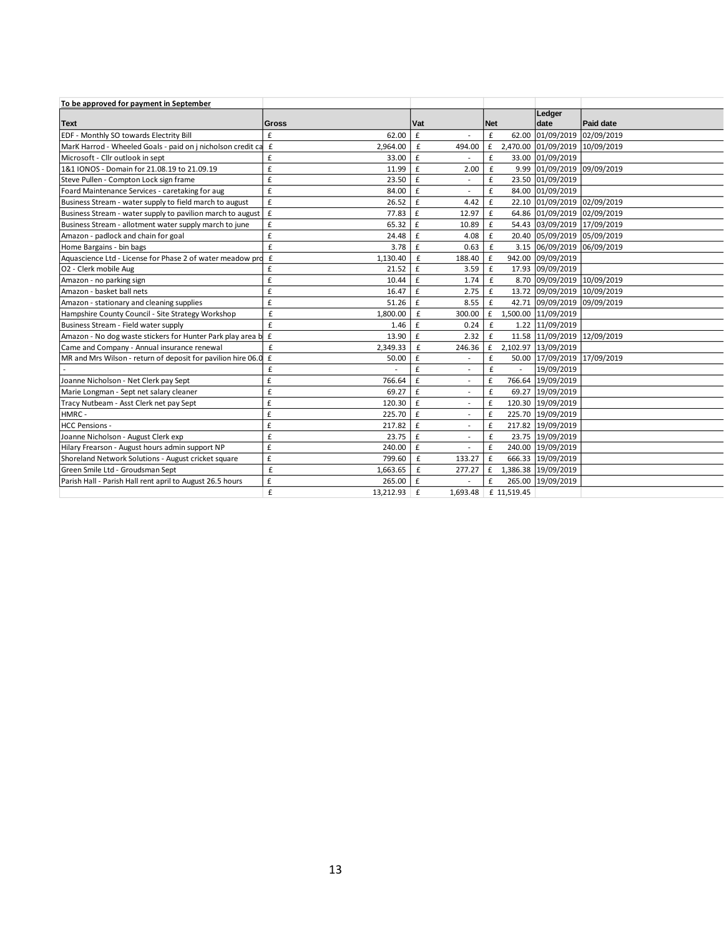| To be approved for payment in September                      |                                |                                          |                     |                                |            |
|--------------------------------------------------------------|--------------------------------|------------------------------------------|---------------------|--------------------------------|------------|
|                                                              |                                |                                          |                     | Ledger                         |            |
| <b>Text</b>                                                  | Gross                          | Vat                                      | <b>Net</b>          | date                           | Paid date  |
| EDF - Monthly SO towards Electrity Bill                      | £<br>62.00                     | £                                        | £<br>62.00          | 01/09/2019                     | 02/09/2019 |
| MarK Harrod - Wheeled Goals - paid on j nicholson credit ca  | $\pmb{\mathsf{f}}$<br>2,964.00 | £<br>494.00                              | £                   | 2,470.00 01/09/2019 10/09/2019 |            |
| Microsoft - Cllr outlook in sept                             | £<br>33.00                     | $\mathbf f$                              | £                   | 33.00 01/09/2019               |            |
| 1&1 IONOS - Domain for 21.08.19 to 21.09.19                  | £<br>11.99                     | $\mathbf f$<br>2.00                      | £                   | 9.99 01/09/2019 09/09/2019     |            |
| Steve Pullen - Compton Lock sign frame                       | £<br>23.50                     | £<br>$\overline{a}$                      | £                   | 23.50 01/09/2019               |            |
| Foard Maintenance Services - caretaking for aug              | $\pmb{\text{f}}$<br>84.00      | $\mathbf{f}$<br>÷,                       | £                   | 84.00 01/09/2019               |            |
| Business Stream - water supply to field march to august      | £<br>26.52                     | $\mathbf f$<br>4.42                      | £                   | 22.10 01/09/2019 02/09/2019    |            |
| Business Stream - water supply to pavilion march to august   | $\mathbf f$<br>77.83           | $\mathbf f$<br>12.97                     | £                   | 64.86 01/09/2019 02/09/2019    |            |
| Business Stream - allotment water supply march to june       | £<br>65.32                     | $\mathbf f$<br>10.89                     | £                   | 54.43 03/09/2019 17/09/2019    |            |
| Amazon - padlock and chain for goal                          | £<br>24.48                     | $\mathbf f$<br>4.08                      | £                   | 20.40 05/09/2019 05/09/2019    |            |
| Home Bargains - bin bags                                     | £<br>3.78                      | $\mathbf f$<br>0.63                      | £                   | 3.15 06/09/2019 06/09/2019     |            |
| Aquascience Ltd - License for Phase 2 of water meadow pro    | $\mathbf f$<br>1.130.40        | £<br>188.40                              | £                   | 942.00 09/09/2019              |            |
| O2 - Clerk mobile Aug                                        | £<br>21.52                     | £<br>3.59                                | £                   | 17.93 09/09/2019               |            |
| Amazon - no parking sign                                     | £<br>10.44                     | 1.74<br>£                                | £                   | 8.70 09/09/2019 10/09/2019     |            |
| Amazon - basket ball nets                                    | £<br>16.47                     | £<br>2.75                                | £                   | 13.72 09/09/2019 10/09/2019    |            |
| Amazon - stationary and cleaning supplies                    | £<br>51.26                     | 8.55<br>£                                | £<br>42.71          | 09/09/2019 09/09/2019          |            |
| Hampshire County Council - Site Strategy Workshop            | £<br>1,800.00                  | £<br>300.00                              | £                   | 1,500.00 11/09/2019            |            |
| Business Stream - Field water supply                         | £<br>1.46                      | $\mathbf f$<br>0.24                      | £                   | 1.22 11/09/2019                |            |
| Amazon - No dog waste stickers for Hunter Park play area b   | $\pmb{\epsilon}$<br>13.90      | $\mathbf f$<br>2.32                      | £                   | 11.58 11/09/2019 12/09/2019    |            |
| Came and Company - Annual insurance renewal                  | £<br>2,349.33                  | £<br>246.36                              | £                   | 2,102.97 13/09/2019            |            |
| MR and Mrs Wilson - return of deposit for pavilion hire 06.0 | $\pmb{\epsilon}$<br>50.00      | $\mathbf f$                              | £                   | 50.00 17/09/2019 17/09/2019    |            |
|                                                              | £                              | £<br>٠                                   | £<br>$\overline{a}$ | 19/09/2019                     |            |
| Joanne Nicholson - Net Clerk pay Sept                        | £<br>766.64                    | £<br>ä,                                  | £<br>766.64         | 19/09/2019                     |            |
| Marie Longman - Sept net salary cleaner                      | £<br>69.27                     | £<br>$\overline{\phantom{a}}$            | £<br>69.27          | 19/09/2019                     |            |
| Tracy Nutbeam - Asst Clerk net pay Sept                      | £<br>120.30                    | $\mathbf{f}$<br>$\overline{\phantom{a}}$ | £                   | 120.30 19/09/2019              |            |
| HMRC-                                                        | £<br>225.70                    | $\mathbf{f}$<br>$\overline{\phantom{a}}$ | £                   | 225.70 19/09/2019              |            |
| <b>HCC Pensions -</b>                                        | £<br>217.82                    | $\mathbf f$<br>÷,                        | £                   | 217.82 19/09/2019              |            |
| Joanne Nicholson - August Clerk exp                          | £<br>23.75                     | $\mathbf{f}$<br>$\overline{\phantom{a}}$ | £                   | 23.75 19/09/2019               |            |
| Hilary Frearson - August hours admin support NP              | £<br>240.00                    | $\mathbf f$<br>ä,                        | £                   | 240.00 19/09/2019              |            |
| Shoreland Network Solutions - August cricket square          | £<br>799.60                    | £<br>133.27                              | £                   | 666.33 19/09/2019              |            |
| Green Smile Ltd - Groudsman Sept                             | £<br>1,663.65                  | £<br>277.27                              | £                   | 1,386.38 19/09/2019            |            |
| Parish Hall - Parish Hall rent april to August 26.5 hours    | £<br>265.00                    | $\mathbf f$                              | £                   | 265.00 19/09/2019              |            |
|                                                              | £<br>$13,212.93$ $E$           | 1,693.48                                 | £ 11.519.45         |                                |            |